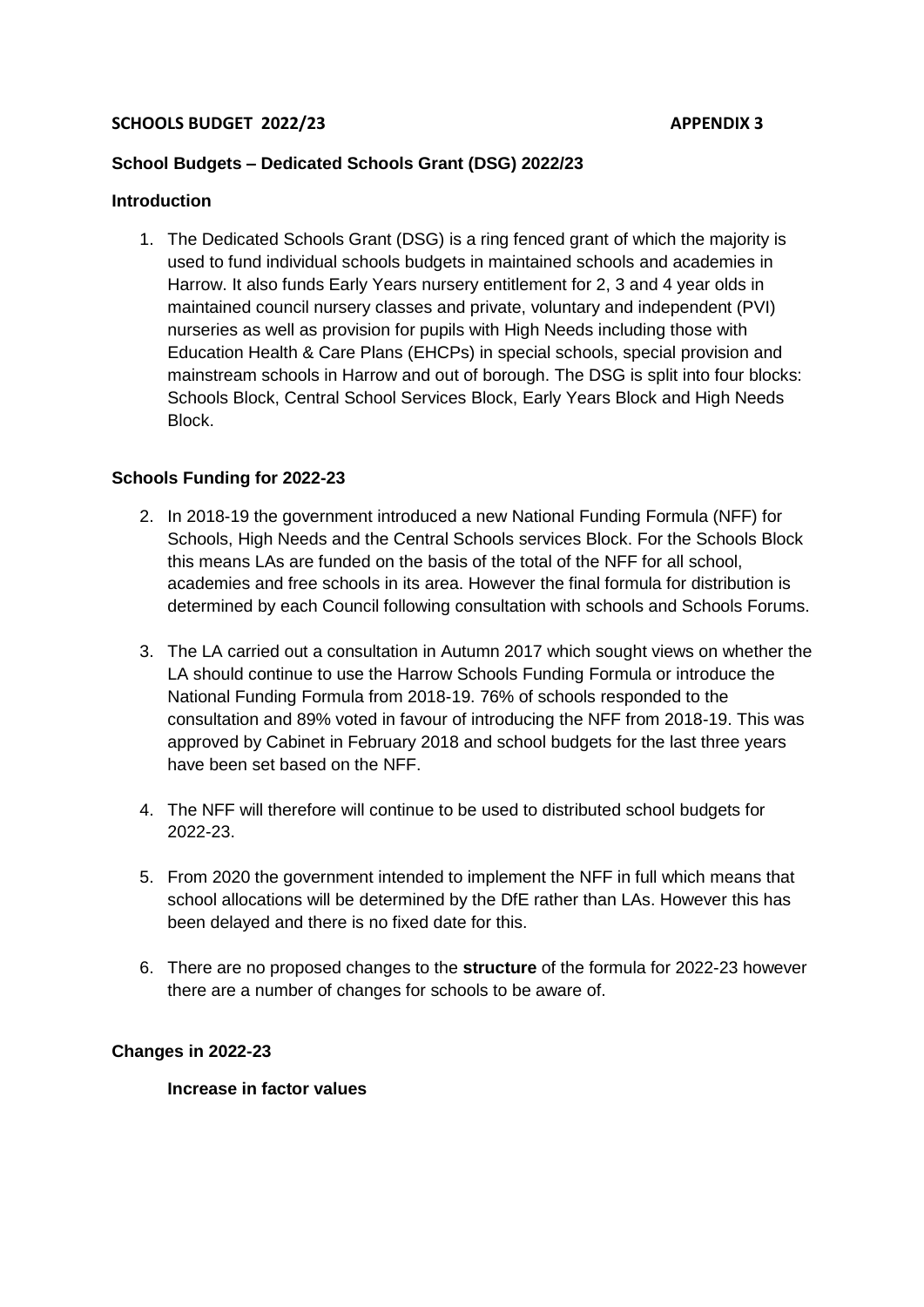## **SCHOOLS BUDGET 2022/23 APPENDIX 3**

## **School Budgets – Dedicated Schools Grant (DSG) 2022/23**

#### **Introduction**

1. The Dedicated Schools Grant (DSG) is a ring fenced grant of which the majority is used to fund individual schools budgets in maintained schools and academies in Harrow. It also funds Early Years nursery entitlement for 2, 3 and 4 year olds in maintained council nursery classes and private, voluntary and independent (PVI) nurseries as well as provision for pupils with High Needs including those with Education Health & Care Plans (EHCPs) in special schools, special provision and mainstream schools in Harrow and out of borough. The DSG is split into four blocks: Schools Block, Central School Services Block, Early Years Block and High Needs Block.

#### **Schools Funding for 2022-23**

- 2. In 2018-19 the government introduced a new National Funding Formula (NFF) for Schools, High Needs and the Central Schools services Block. For the Schools Block this means LAs are funded on the basis of the total of the NFF for all school, academies and free schools in its area. However the final formula for distribution is determined by each Council following consultation with schools and Schools Forums.
- 3. The LA carried out a consultation in Autumn 2017 which sought views on whether the LA should continue to use the Harrow Schools Funding Formula or introduce the National Funding Formula from 2018-19. 76% of schools responded to the consultation and 89% voted in favour of introducing the NFF from 2018-19. This was approved by Cabinet in February 2018 and school budgets for the last three years have been set based on the NFF.
- 4. The NFF will therefore will continue to be used to distributed school budgets for 2022-23.
- 5. From 2020 the government intended to implement the NFF in full which means that school allocations will be determined by the DfE rather than LAs. However this has been delayed and there is no fixed date for this.
- 6. There are no proposed changes to the **structure** of the formula for 2022-23 however there are a number of changes for schools to be aware of.

#### **Changes in 2022-23**

#### **Increase in factor values**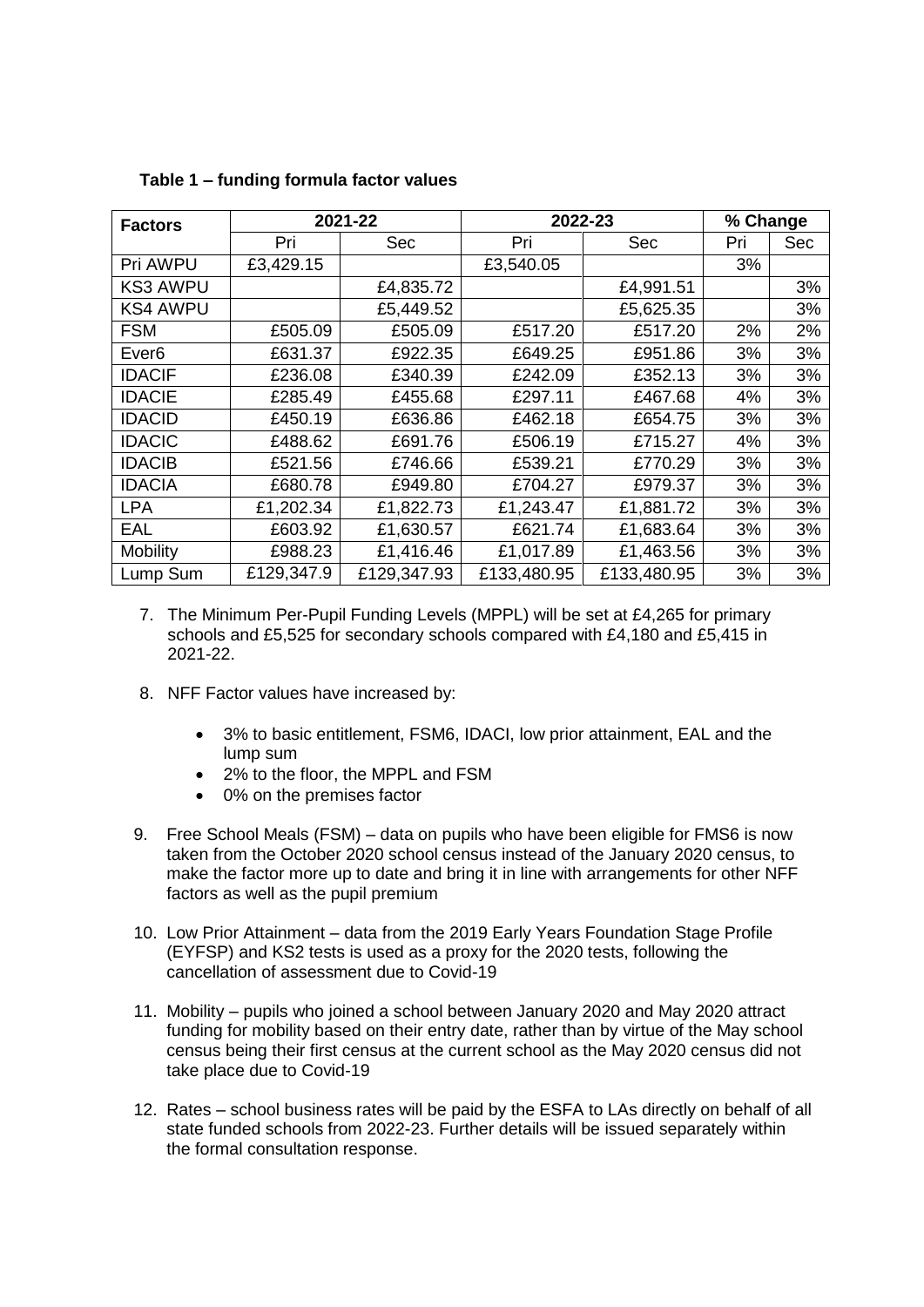| <b>Factors</b>    | 2021-22    |             | 2022-23     |             | % Change |     |
|-------------------|------------|-------------|-------------|-------------|----------|-----|
|                   | Pri        | <b>Sec</b>  | Pri         | Sec         | Pri      | Sec |
| Pri AWPU          | £3,429.15  |             | £3,540.05   |             | 3%       |     |
| <b>KS3 AWPU</b>   |            | £4,835.72   |             | £4,991.51   |          | 3%  |
| <b>KS4 AWPU</b>   |            | £5,449.52   |             | £5,625.35   |          | 3%  |
| <b>FSM</b>        | £505.09    | £505.09     | £517.20     | £517.20     | 2%       | 2%  |
| Ever <sub>6</sub> | £631.37    | £922.35     | £649.25     | £951.86     | 3%       | 3%  |
| <b>IDACIF</b>     | £236.08    | £340.39     | £242.09     | £352.13     | 3%       | 3%  |
| <b>IDACIE</b>     | £285.49    | £455.68     | £297.11     | £467.68     | 4%       | 3%  |
| <b>IDACID</b>     | £450.19    | £636.86     | £462.18     | £654.75     | 3%       | 3%  |
| <b>IDACIC</b>     | £488.62    | £691.76     | £506.19     | £715.27     | 4%       | 3%  |
| <b>IDACIB</b>     | £521.56    | £746.66     | £539.21     | £770.29     | 3%       | 3%  |
| <b>IDACIA</b>     | £680.78    | £949.80     | £704.27     | £979.37     | 3%       | 3%  |
| <b>LPA</b>        | £1,202.34  | £1,822.73   | £1,243.47   | £1,881.72   | 3%       | 3%  |
| <b>EAL</b>        | £603.92    | £1,630.57   | £621.74     | £1,683.64   | 3%       | 3%  |
| Mobility          | £988.23    | £1,416.46   | £1,017.89   | £1,463.56   | 3%       | 3%  |
| Lump Sum          | £129,347.9 | £129,347.93 | £133,480.95 | £133,480.95 | 3%       | 3%  |

**Table 1 – funding formula factor values**

- 7. The Minimum Per-Pupil Funding Levels (MPPL) will be set at £4,265 for primary schools and £5,525 for secondary schools compared with £4,180 and £5,415 in 2021-22.
- 8. NFF Factor values have increased by:
	- 3% to basic entitlement, FSM6, IDACI, low prior attainment, EAL and the lump sum
	- 2% to the floor, the MPPL and FSM
	- 0% on the premises factor
- 9. Free School Meals (FSM) data on pupils who have been eligible for FMS6 is now taken from the October 2020 school census instead of the January 2020 census, to make the factor more up to date and bring it in line with arrangements for other NFF factors as well as the pupil premium
- 10. Low Prior Attainment data from the 2019 Early Years Foundation Stage Profile (EYFSP) and KS2 tests is used as a proxy for the 2020 tests, following the cancellation of assessment due to Covid-19
- 11. Mobility pupils who joined a school between January 2020 and May 2020 attract funding for mobility based on their entry date, rather than by virtue of the May school census being their first census at the current school as the May 2020 census did not take place due to Covid-19
- 12. Rates school business rates will be paid by the ESFA to LAs directly on behalf of all state funded schools from 2022-23. Further details will be issued separately within the formal consultation response.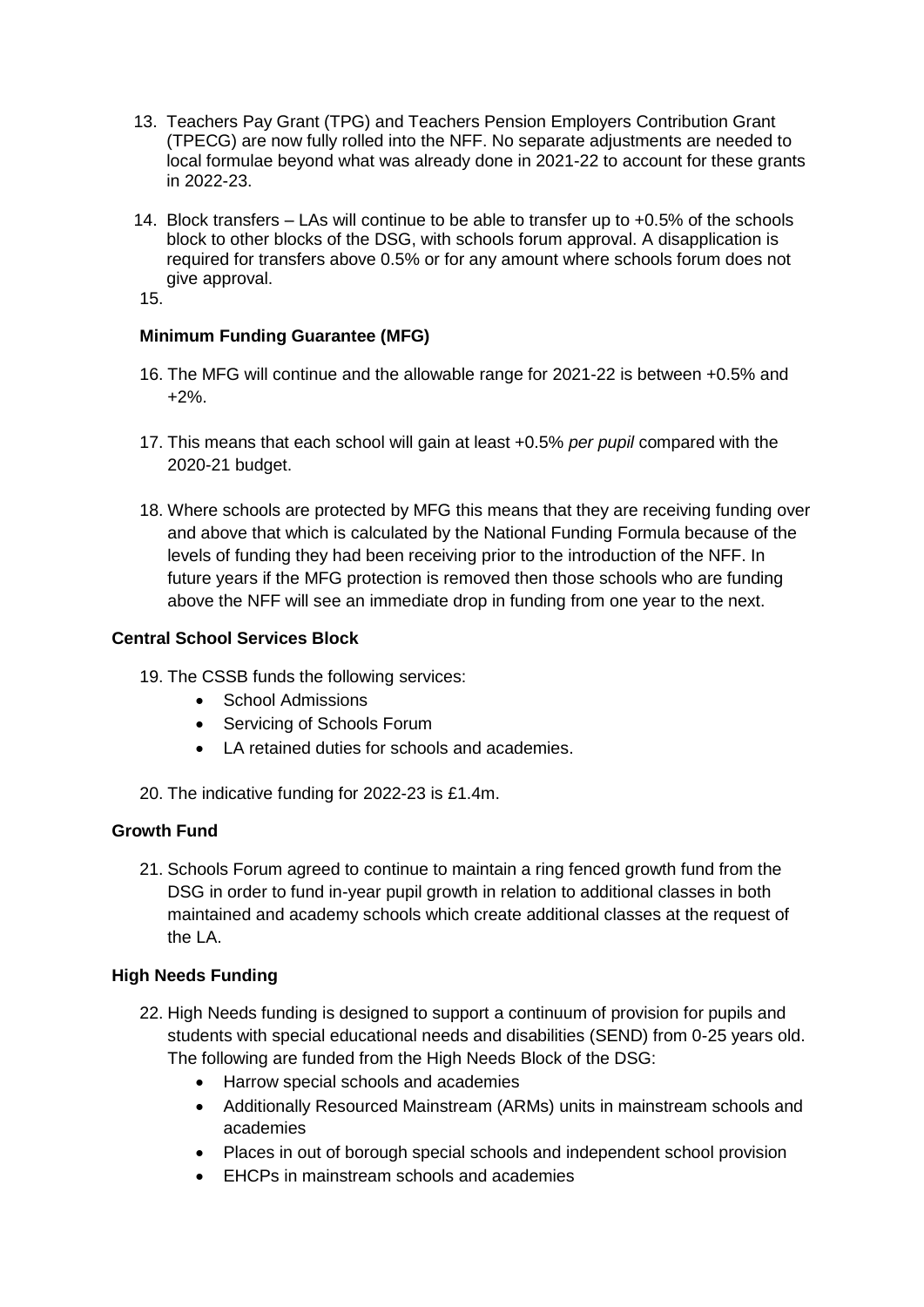- 13. Teachers Pay Grant (TPG) and Teachers Pension Employers Contribution Grant (TPECG) are now fully rolled into the NFF. No separate adjustments are needed to local formulae beyond what was already done in 2021-22 to account for these grants in 2022-23.
- 14. Block transfers LAs will continue to be able to transfer up to +0.5% of the schools block to other blocks of the DSG, with schools forum approval. A disapplication is required for transfers above 0.5% or for any amount where schools forum does not give approval.

15.

# **Minimum Funding Guarantee (MFG)**

- 16. The MFG will continue and the allowable range for 2021-22 is between +0.5% and +2%.
- 17. This means that each school will gain at least +0.5% *per pupil* compared with the 2020-21 budget.
- 18. Where schools are protected by MFG this means that they are receiving funding over and above that which is calculated by the National Funding Formula because of the levels of funding they had been receiving prior to the introduction of the NFF. In future years if the MFG protection is removed then those schools who are funding above the NFF will see an immediate drop in funding from one year to the next.

## **Central School Services Block**

- 19. The CSSB funds the following services:
	- School Admissions
	- Servicing of Schools Forum
	- LA retained duties for schools and academies.
- 20. The indicative funding for 2022-23 is £1.4m.

# **Growth Fund**

21. Schools Forum agreed to continue to maintain a ring fenced growth fund from the DSG in order to fund in-year pupil growth in relation to additional classes in both maintained and academy schools which create additional classes at the request of the LA.

## **High Needs Funding**

- 22. High Needs funding is designed to support a continuum of provision for pupils and students with special educational needs and disabilities (SEND) from 0-25 years old. The following are funded from the High Needs Block of the DSG:
	- Harrow special schools and academies
	- Additionally Resourced Mainstream (ARMs) units in mainstream schools and academies
	- Places in out of borough special schools and independent school provision
	- EHCPs in mainstream schools and academies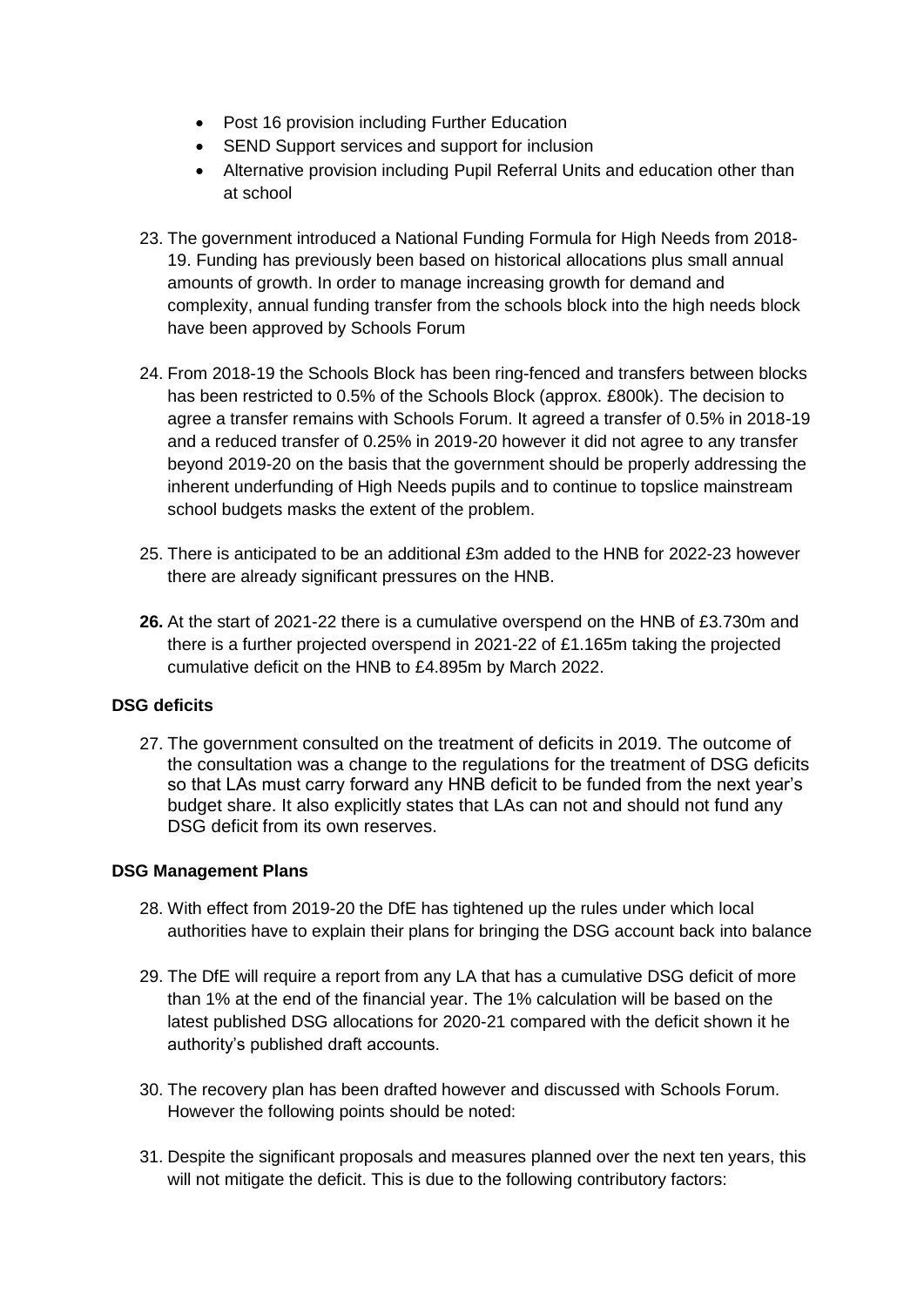- Post 16 provision including Further Education
- SEND Support services and support for inclusion
- Alternative provision including Pupil Referral Units and education other than at school
- 23. The government introduced a National Funding Formula for High Needs from 2018- 19. Funding has previously been based on historical allocations plus small annual amounts of growth. In order to manage increasing growth for demand and complexity, annual funding transfer from the schools block into the high needs block have been approved by Schools Forum
- 24. From 2018-19 the Schools Block has been ring-fenced and transfers between blocks has been restricted to 0.5% of the Schools Block (approx. £800k). The decision to agree a transfer remains with Schools Forum. It agreed a transfer of 0.5% in 2018-19 and a reduced transfer of 0.25% in 2019-20 however it did not agree to any transfer beyond 2019-20 on the basis that the government should be properly addressing the inherent underfunding of High Needs pupils and to continue to topslice mainstream school budgets masks the extent of the problem.
- 25. There is anticipated to be an additional £3m added to the HNB for 2022-23 however there are already significant pressures on the HNB.
- **26.** At the start of 2021-22 there is a cumulative overspend on the HNB of £3.730m and there is a further projected overspend in 2021-22 of £1.165m taking the projected cumulative deficit on the HNB to £4.895m by March 2022.

# **DSG deficits**

27. The government consulted on the treatment of deficits in 2019. The outcome of the consultation was a change to the regulations for the treatment of DSG deficits so that LAs must carry forward any HNB deficit to be funded from the next year's budget share. It also explicitly states that LAs can not and should not fund any DSG deficit from its own reserves.

## **DSG Management Plans**

- 28. With effect from 2019-20 the DfE has tightened up the rules under which local authorities have to explain their plans for bringing the DSG account back into balance
- 29. The DfE will require a report from any LA that has a cumulative DSG deficit of more than 1% at the end of the financial year. The 1% calculation will be based on the latest published DSG allocations for 2020-21 compared with the deficit shown it he authority's published draft accounts.
- 30. The recovery plan has been drafted however and discussed with Schools Forum. However the following points should be noted:
- 31. Despite the significant proposals and measures planned over the next ten years, this will not mitigate the deficit. This is due to the following contributory factors: